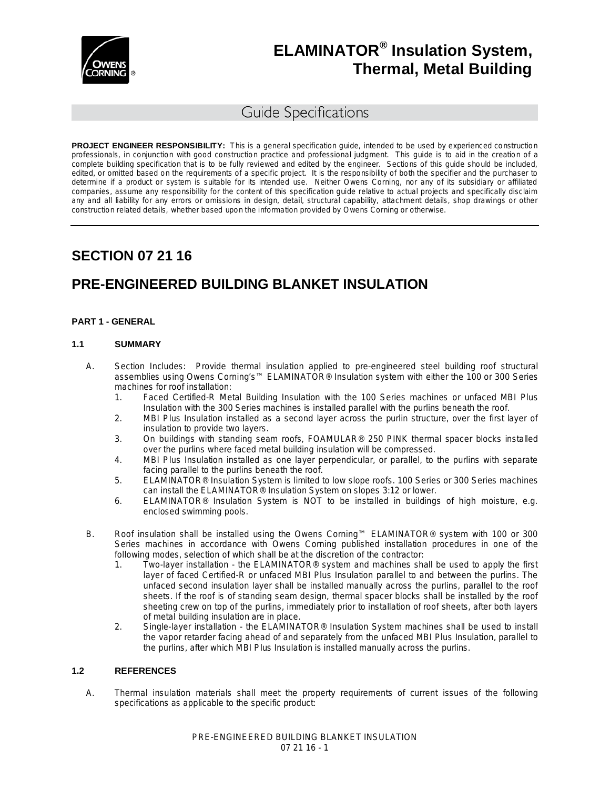

# Guide Specifications

**PROJECT ENGINEER RESPONSIBILITY:** This is a general specification guide, intended to be used by experienced construction professionals, in conjunction with good construction practice and professional judgment. This guide is to aid in the creation of a complete building specification that is to be fully reviewed and edited by the engineer. Sections of this guide should be included, edited, or omitted based on the requirements of a specific project. It is the responsibility of both the specifier and the purchaser to determine if a product or system is suitable for its intended use. Neither Owens Corning, nor any of its subsidiary or affiliated companies, assume any responsibility for the content of this specification guide relative to actual projects and specifically disclaim any and all liability for any errors or omissions in design, detail, structural capability, attachment details, shop drawings or other construction related details, whether based upon the information provided by Owens Corning or otherwise.

# **SECTION 07 21 16**

# **PRE-ENGINEERED BUILDING BLANKET INSULATION**

### **PART 1 - GENERAL**

### **1.1 SUMMARY**

- A. Section Includes: Provide thermal insulation applied to pre-engineered steel building roof structural assemblies using Owens Corning's™ ELAMINATOR® Insulation system with either the 100 or 300 Series machines for roof installation:
	- 1. Faced Certified-R Metal Building Insulation with the 100 Series machines or unfaced MBI Plus Insulation with the 300 Series machines is installed parallel with the purlins beneath the roof.
	- 2. MBI Plus Insulation installed as a second layer across the purlin structure, over the first layer of insulation to provide two layers.
	- 3. On buildings with standing seam roofs, FOAMULAR® 250 PINK thermal spacer blocks installed over the purlins where faced metal building insulation will be compressed.
	- 4. MBI Plus Insulation installed as one layer perpendicular, or parallel, to the purlins with separate facing parallel to the purlins beneath the roof.
	- 5. ELAMINATOR® Insulation System is limited to low slope roofs. 100 Series or 300 Series machines can install the ELAMINATOR® Insulation System on slopes 3:12 or lower.
	- 6. ELAMINATOR® Insulation System is NOT to be installed in buildings of high moisture, e.g. enclosed swimming pools.
- B. Roof insulation shall be installed using the Owens Corning™ ELAMINATOR® system with 100 or 300 Series machines in accordance with Owens Corning published installation procedures in one of the following modes, selection of which shall be at the discretion of the contractor:
	- 1. Two-layer installation the ELAMINATOR® system and machines shall be used to apply the first layer of faced Certified-R or unfaced MBI Plus Insulation parallel to and between the purlins. The unfaced second insulation layer shall be installed manually across the purlins, parallel to the roof sheets. If the roof is of standing seam design, thermal spacer blocks shall be installed by the roof sheeting crew on top of the purlins, immediately prior to installation of roof sheets, after both layers of metal building insulation are in place.
	- 2. Single-layer installation the ELAMINATOR® Insulation System machines shall be used to install the vapor retarder facing ahead of and separately from the unfaced MBI Plus Insulation, parallel to the purlins, after which MBI Plus Insulation is installed manually across the purlins.

#### **1.2 REFERENCES**

A. Thermal insulation materials shall meet the property requirements of current issues of the following specifications as applicable to the specific product: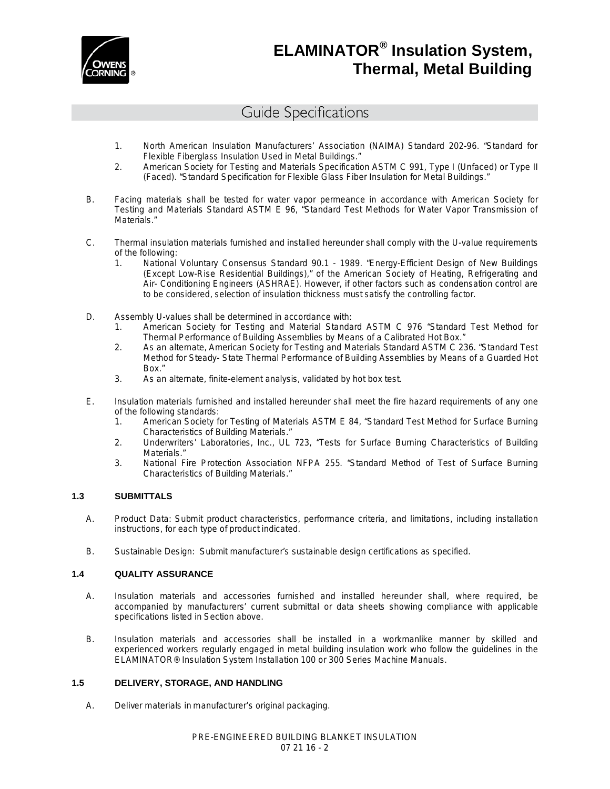

# Guide Specifications

- 1. North American Insulation Manufacturers' Association (NAIMA) Standard 202-96. "Standard for Flexible Fiberglass Insulation Used in Metal Buildings."
- 2. American Society for Testing and Materials Specification ASTM C 991, Type I (Unfaced) or Type II (Faced). "Standard Specification for Flexible Glass Fiber Insulation for Metal Buildings."
- B. Facing materials shall be tested for water vapor permeance in accordance with American Society for Testing and Materials Standard ASTM E 96, "Standard Test Methods for Water Vapor Transmission of Materials."
- C. Thermal insulation materials furnished and installed hereunder shall comply with the U-value requirements of the following:
	- 1. National Voluntary Consensus Standard 90.1 1989. "Energy-Efficient Design of New Buildings (Except Low-Rise Residential Buildings)," of the American Society of Heating, Refrigerating and Air- Conditioning Engineers (ASHRAE). However, if other factors such as condensation control are to be considered, selection of insulation thickness must satisfy the controlling factor.
- D. Assembly U-values shall be determined in accordance with:
	- 1. American Society for Testing and Material Standard ASTM C 976 "Standard Test Method for Thermal Performance of Building Assemblies by Means of a Calibrated Hot Box."
	- 2. As an alternate, American Society for Testing and Materials Standard ASTM C 236. "Standard Test Method for Steady- State Thermal Performance of Building Assemblies by Means of a Guarded Hot Box."
	- 3. As an alternate, finite-element analysis, validated by hot box test.
- E. Insulation materials furnished and installed hereunder shall meet the fire hazard requirements of any one of the following standards:
	- 1. American Society for Testing of Materials ASTM E 84, "Standard Test Method for Surface Burning Characteristics of Building Materials."
	- 2. Underwriters' Laboratories, Inc., UL 723, "Tests for Surface Burning Characteristics of Building Materials."
	- 3. National Fire Protection Association NFPA 255. "Standard Method of Test of Surface Burning Characteristics of Building Materials."

## **1.3 SUBMITTALS**

- A. Product Data: Submit product characteristics, performance criteria, and limitations, including installation instructions, for each type of product indicated.
- B. Sustainable Design: Submit manufacturer's sustainable design certifications as specified.

## **1.4 QUALITY ASSURANCE**

- A. Insulation materials and accessories furnished and installed hereunder shall, where required, be accompanied by manufacturers' current submittal or data sheets showing compliance with applicable specifications listed in Section above.
- B. Insulation materials and accessories shall be installed in a workmanlike manner by skilled and experienced workers regularly engaged in metal building insulation work who follow the guidelines in the ELAMINATOR® Insulation System Installation 100 or 300 Series Machine Manuals.

# **1.5 DELIVERY, STORAGE, AND HANDLING**

A. Deliver materials in manufacturer's original packaging.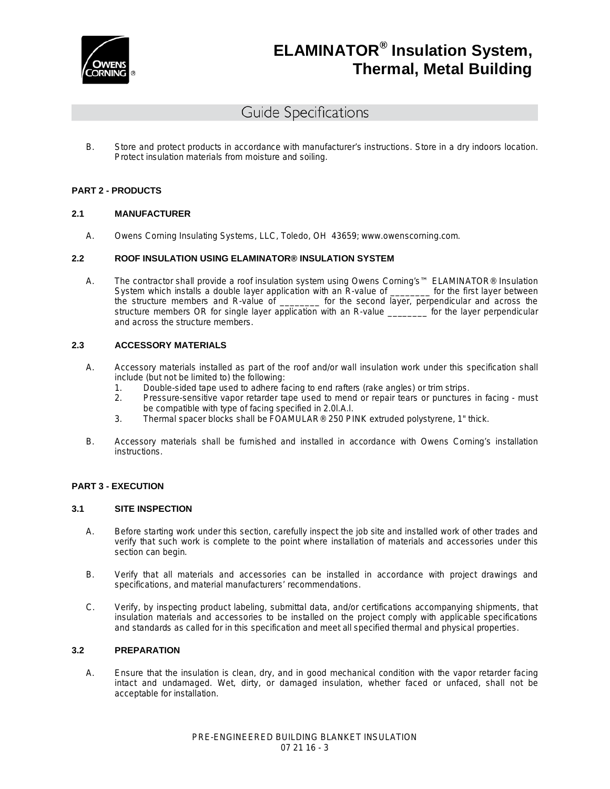

# Guide Specifications

B. Store and protect products in accordance with manufacturer's instructions. Store in a dry indoors location. Protect insulation materials from moisture and soiling.

#### **PART 2 - PRODUCTS**

#### **2.1 MANUFACTURER**

A. Owens Corning Insulating Systems, LLC, Toledo, OH 43659; [www.owenscorning.com.](http://www.owenscorning.com/)

#### **2.2 ROOF INSULATION USING ELAMINATOR® INSULATION SYSTEM**

A. The contractor shall provide a roof insulation system using Owens Corning's™ ELAMINATOR® Insulation System which installs a double layer application with an R-value of \_\_\_\_\_\_\_\_ for the first layer between the structure members and R-value of \_\_\_\_\_\_\_\_ for the second layer, perpendicular and across the the second layer, perpendicular and across the structure members OR for single layer application with an R-value \_\_\_\_\_\_\_\_ for the layer perpendicular and across the structure members.

### **2.3 ACCESSORY MATERIALS**

- A. Accessory materials installed as part of the roof and/or wall insulation work under this specification shall include (but not be limited to) the following:
	- 1. Double-sided tape used to adhere facing to end rafters (rake angles) or trim strips.
	- 2. Pressure-sensitive vapor retarder tape used to mend or repair tears or punctures in facing must be compatible with type of facing specified in 2.0l.A.l.
	- 3. Thermal spacer blocks shall be FOAMULAR® 250 PINK extruded polystyrene, 1" thick.
- B. Accessory materials shall be furnished and installed in accordance with Owens Corning's installation instructions.

#### **PART 3 - EXECUTION**

#### **3.1 SITE INSPECTION**

- A. Before starting work under this section, carefully inspect the job site and installed work of other trades and verify that such work is complete to the point where installation of materials and accessories under this section can begin.
- B. Verify that all materials and accessories can be installed in accordance with project drawings and specifications, and material manufacturers' recommendations.
- C. Verify, by inspecting product labeling, submittal data, and/or certifications accompanying shipments, that insulation materials and accessories to be installed on the project comply with applicable specifications and standards as called for in this specification and meet all specified thermal and physical properties.

#### **3.2 PREPARATION**

A. Ensure that the insulation is clean, dry, and in good mechanical condition with the vapor retarder facing intact and undamaged. Wet, dirty, or damaged insulation, whether faced or unfaced, shall not be acceptable for installation.